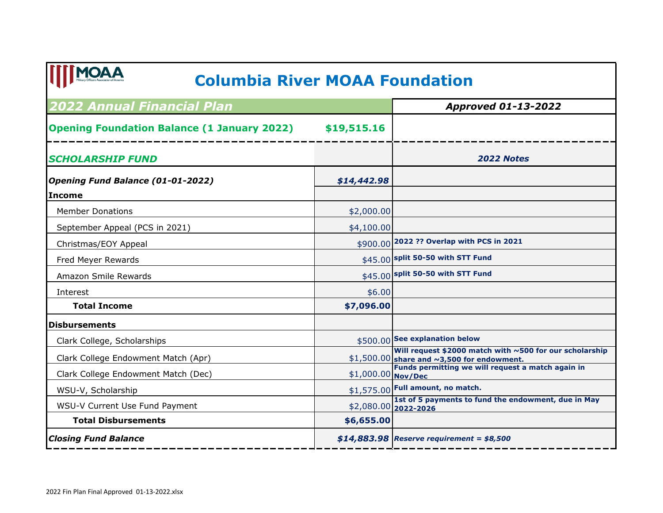## **Columbia River MOAA Foundation**

| <b>2022 Annual Financial Plan</b>                  |                    | <b>Approved 01-13-2022</b>                                                                                  |
|----------------------------------------------------|--------------------|-------------------------------------------------------------------------------------------------------------|
| <b>Opening Foundation Balance (1 January 2022)</b> | \$19,515.16        |                                                                                                             |
| <b>SCHOLARSHIP FUND</b>                            |                    | <b>2022 Notes</b>                                                                                           |
| Opening Fund Balance (01-01-2022)                  | \$14,442.98        |                                                                                                             |
| <b>Income</b>                                      |                    |                                                                                                             |
| <b>Member Donations</b>                            | \$2,000.00         |                                                                                                             |
| September Appeal (PCS in 2021)                     | \$4,100.00         |                                                                                                             |
| Christmas/EOY Appeal                               |                    | \$900.00 2022 ?? Overlap with PCS in 2021                                                                   |
| Fred Meyer Rewards                                 |                    | \$45.00 split 50-50 with STT Fund                                                                           |
| Amazon Smile Rewards                               | \$45.00            | split 50-50 with STT Fund                                                                                   |
| Interest                                           | \$6.00             |                                                                                                             |
| <b>Total Income</b>                                | \$7,096.00         |                                                                                                             |
| <b>Disbursements</b>                               |                    |                                                                                                             |
| Clark College, Scholarships                        |                    | \$500.00 See explanation below                                                                              |
| Clark College Endowment Match (Apr)                |                    | Will request \$2000 match with $\sim$ 500 for our scholarship<br>\$1,500.00 share and ~3,500 for endowment. |
| Clark College Endowment Match (Dec)                | \$1,000.00 Nov/Dec | Funds permitting we will request a match again in                                                           |
| WSU-V, Scholarship                                 |                    | $$1,575.00$ Full amount, no match.                                                                          |
| WSU-V Current Use Fund Payment                     |                    | 1st of 5 payments to fund the endowment, due in May<br>\$2,080.00 2022-2026                                 |
| <b>Total Disbursements</b>                         | \$6,655.00         |                                                                                                             |
| <b>Closing Fund Balance</b>                        |                    | \$14,883.98 Reserve requirement = $$8,500$                                                                  |

**ITTMOAA**